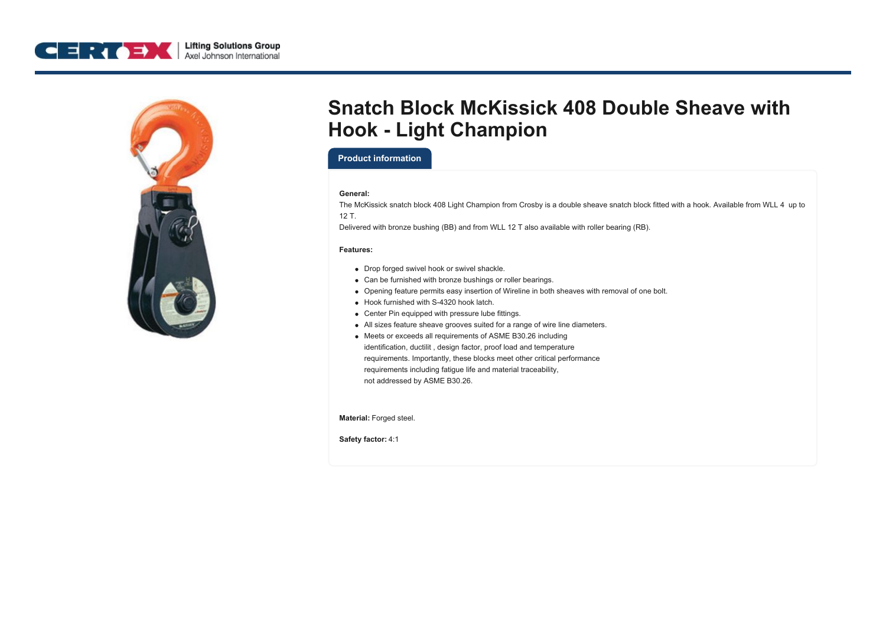



# **Snatch Block McKissick 408 Double Sheave with Hook - Light Champion**

### **Product information**

#### **General:**

The McKissick snatch block 408 Light Champion from Crosby is a double sheave snatch block fitted with a hook. Available from WLL 4 up to 12 T.

Delivered with bronze bushing (BB) and from WLL 12 T also available with roller bearing (RB).

#### **Features:**

- Drop forged swivel hook or swivel shackle.
- Can be furnished with bronze bushings or roller bearings.
- Opening feature permits easy insertion of Wireline in both sheaves with removal of one bolt.
- Hook furnished with S-4320 hook latch.
- Center Pin equipped with pressure lube fittings.
- All sizes feature sheave grooves suited for a range of wire line diameters.
- Meets or exceeds all requirements of ASME B30.26 including identification, ductilit , design factor, proof load and temperature requirements. Importantly, these blocks meet other critical performance requirements including fatigue life and material traceability, not addressed by ASME B30.26.

**Material:** Forged steel.

**Safety factor:** 4:1